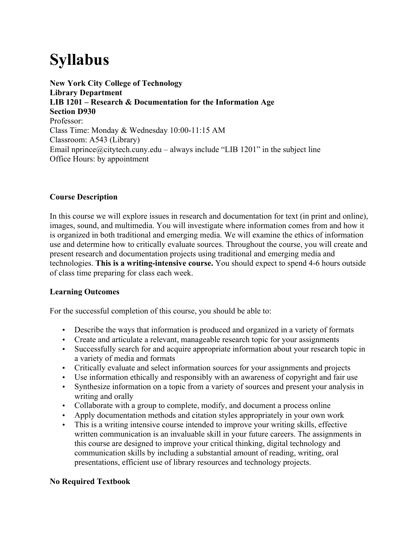# **Syllabus**

**New York City College of Technology Library Department LIB 1201 – Research & Documentation for the Information Age Section D930** Professor: Class Time: Monday & Wednesday 10:00-11:15 AM Classroom: A543 (Library) Email nprince@citytech.cuny.edu – always include "LIB 1201" in the subject line Office Hours: by appointment

## **Course Description**

In this course we will explore issues in research and documentation for text (in print and online), images, sound, and multimedia. You will investigate where information comes from and how it is organized in both traditional and emerging media. We will examine the ethics of information use and determine how to critically evaluate sources. Throughout the course, you will create and present research and documentation projects using traditional and emerging media and technologies. **This is a writing-intensive course.** You should expect to spend 4-6 hours outside of class time preparing for class each week.

## **Learning Outcomes**

For the successful completion of this course, you should be able to:

- Describe the ways that information is produced and organized in a variety of formats
- Create and articulate a relevant, manageable research topic for your assignments
- Successfully search for and acquire appropriate information about your research topic in a variety of media and formats
- Critically evaluate and select information sources for your assignments and projects
- Use information ethically and responsibly with an awareness of copyright and fair use
- Synthesize information on a topic from a variety of sources and present your analysis in writing and orally
- Collaborate with a group to complete, modify, and document a process online
- Apply documentation methods and citation styles appropriately in your own work
- This is a writing intensive course intended to improve your writing skills, effective written communication is an invaluable skill in your future careers. The assignments in this course are designed to improve your critical thinking, digital technology and communication skills by including a substantial amount of reading, writing, oral presentations, efficient use of library resources and technology projects.

## **No Required Textbook**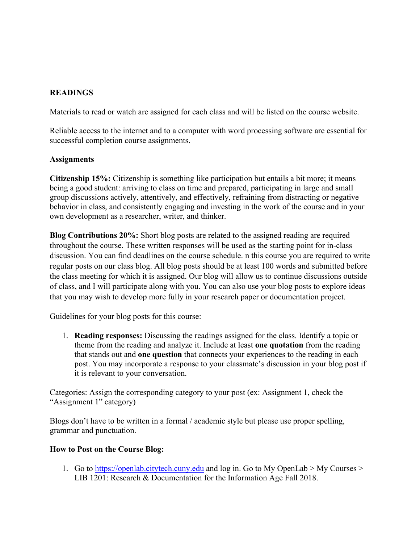# **READINGS**

Materials to read or watch are assigned for each class and will be listed on the course website.

Reliable access to the internet and to a computer with word processing software are essential for successful completion course assignments.

## **Assignments**

**Citizenship 15%:** Citizenship is something like participation but entails a bit more; it means being a good student: arriving to class on time and prepared, participating in large and small group discussions actively, attentively, and effectively, refraining from distracting or negative behavior in class, and consistently engaging and investing in the work of the course and in your own development as a researcher, writer, and thinker.

**Blog Contributions 20%:** Short blog posts are related to the assigned reading are required throughout the course. These written responses will be used as the starting point for in-class discussion. You can find deadlines on the course schedule. n this course you are required to write regular posts on our class blog. All blog posts should be at least 100 words and submitted before the class meeting for which it is assigned. Our blog will allow us to continue discussions outside of class, and I will participate along with you. You can also use your blog posts to explore ideas that you may wish to develop more fully in your research paper or documentation project.

Guidelines for your blog posts for this course:

1. **Reading responses:** Discussing the readings assigned for the class. Identify a topic or theme from the reading and analyze it. Include at least **one quotation** from the reading that stands out and **one question** that connects your experiences to the reading in each post. You may incorporate a response to your classmate's discussion in your blog post if it is relevant to your conversation.

Categories: Assign the corresponding category to your post (ex: Assignment 1, check the "Assignment 1" category)

Blogs don't have to be written in a formal / academic style but please use proper spelling, grammar and punctuation.

## **How to Post on the Course Blog:**

1. Go to https://openlab.citytech.cuny.edu and log in. Go to My OpenLab > My Courses > LIB 1201: Research & Documentation for the Information Age Fall 2018.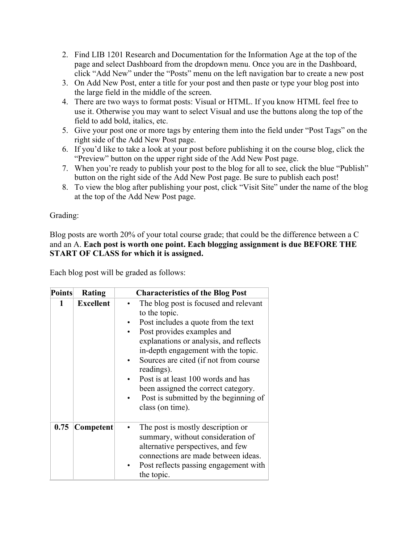- 2. Find LIB 1201 Research and Documentation for the Information Age at the top of the page and select Dashboard from the dropdown menu. Once you are in the Dashboard, click "Add New" under the "Posts" menu on the left navigation bar to create a new post
- 3. On Add New Post, enter a title for your post and then paste or type your blog post into the large field in the middle of the screen.
- 4. There are two ways to format posts: Visual or HTML. If you know HTML feel free to use it. Otherwise you may want to select Visual and use the buttons along the top of the field to add bold, italics, etc.
- 5. Give your post one or more tags by entering them into the field under "Post Tags" on the right side of the Add New Post page.
- 6. If you'd like to take a look at your post before publishing it on the course blog, click the "Preview" button on the upper right side of the Add New Post page.
- 7. When you're ready to publish your post to the blog for all to see, click the blue "Publish" button on the right side of the Add New Post page. Be sure to publish each post!
- 8. To view the blog after publishing your post, click "Visit Site" under the name of the blog at the top of the Add New Post page.

Grading:

Blog posts are worth 20% of your total course grade; that could be the difference between a C and an A. **Each post is worth one point. Each blogging assignment is due BEFORE THE START OF CLASS for which it is assigned.**

Each blog post will be graded as follows:

| <b>Points</b> | Rating           | <b>Characteristics of the Blog Post</b>                                                                                                                                                                                                                                                                                                                                                                       |
|---------------|------------------|---------------------------------------------------------------------------------------------------------------------------------------------------------------------------------------------------------------------------------------------------------------------------------------------------------------------------------------------------------------------------------------------------------------|
| 1             | <b>Excellent</b> | The blog post is focused and relevant<br>to the topic.<br>Post includes a quote from the text<br>Post provides examples and<br>explanations or analysis, and reflects<br>in-depth engagement with the topic.<br>Sources are cited (if not from course<br>readings).<br>Post is at least 100 words and has<br>been assigned the correct category.<br>Post is submitted by the beginning of<br>class (on time). |
| 0.75          | Competent        | The post is mostly description or<br>summary, without consideration of<br>alternative perspectives, and few<br>connections are made between ideas.<br>Post reflects passing engagement with<br>the topic.                                                                                                                                                                                                     |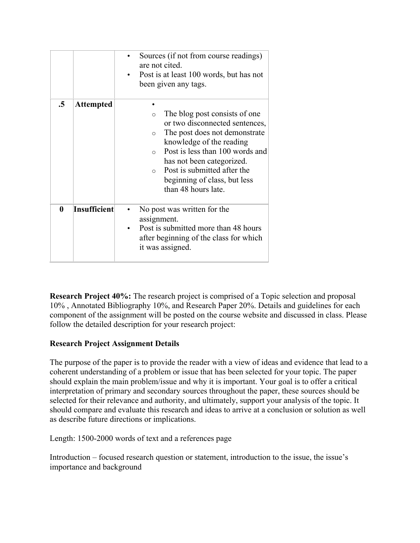|    |                  | Sources (if not from course readings)<br>are not cited.<br>Post is at least 100 words, but has not<br>been given any tags.                                                                                                                                                                                                       |
|----|------------------|----------------------------------------------------------------------------------------------------------------------------------------------------------------------------------------------------------------------------------------------------------------------------------------------------------------------------------|
| .5 | <b>Attempted</b> | The blog post consists of one.<br>$\circ$<br>or two disconnected sentences,<br>The post does not demonstrate<br>$\circ$<br>knowledge of the reading<br>Post is less than 100 words and<br>$\Omega$<br>has not been categorized.<br>Post is submitted after the<br>$\circ$<br>beginning of class, but less<br>than 48 hours late. |
| 0  | Insufficient     | No post was written for the<br>assignment.<br>Post is submitted more than 48 hours<br>after beginning of the class for which<br>it was assigned.                                                                                                                                                                                 |

**Research Project 40%:** The research project is comprised of a Topic selection and proposal 10% , Annotated Bibliography 10%, and Research Paper 20%. Details and guidelines for each component of the assignment will be posted on the course website and discussed in class. Please follow the detailed description for your research project:

# **Research Project Assignment Details**

The purpose of the paper is to provide the reader with a view of ideas and evidence that lead to a coherent understanding of a problem or issue that has been selected for your topic. The paper should explain the main problem/issue and why it is important. Your goal is to offer a critical interpretation of primary and secondary sources throughout the paper, these sources should be selected for their relevance and authority, and ultimately, support your analysis of the topic. It should compare and evaluate this research and ideas to arrive at a conclusion or solution as well as describe future directions or implications.

Length: 1500-2000 words of text and a references page

Introduction – focused research question or statement, introduction to the issue, the issue's importance and background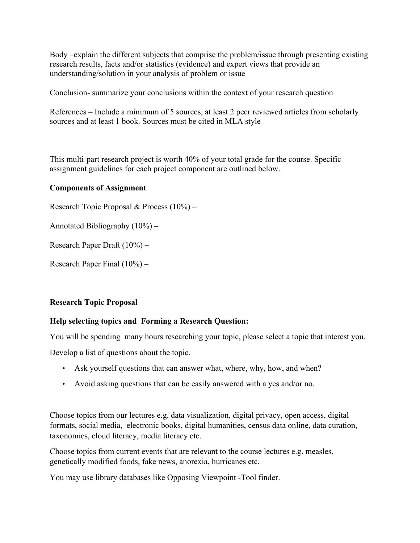Body –explain the different subjects that comprise the problem/issue through presenting existing research results, facts and/or statistics (evidence) and expert views that provide an understanding/solution in your analysis of problem or issue

Conclusion- summarize your conclusions within the context of your research question

References – Include a minimum of 5 sources, at least 2 peer reviewed articles from scholarly sources and at least 1 book. Sources must be cited in MLA style

This multi-part research project is worth 40% of your total grade for the course. Specific assignment guidelines for each project component are outlined below.

## **Components of Assignment**

Research Topic Proposal & Process (10%) –

Annotated Bibliography (10%) –

Research Paper Draft (10%) –

Research Paper Final (10%) –

## **Research Topic Proposal**

## **Help selecting topics and Forming a Research Question:**

You will be spending many hours researching your topic, please select a topic that interest you.

Develop a list of questions about the topic.

- Ask yourself questions that can answer what, where, why, how, and when?
- Avoid asking questions that can be easily answered with a yes and/or no.

Choose topics from our lectures e.g. data visualization, digital privacy, open access, digital formats, social media, electronic books, digital humanities, census data online, data curation, taxonomies, cloud literacy, media literacy etc.

Choose topics from current events that are relevant to the course lectures e.g. measles, genetically modified foods, fake news, anorexia, hurricanes etc.

You may use library databases like Opposing Viewpoint -Tool finder.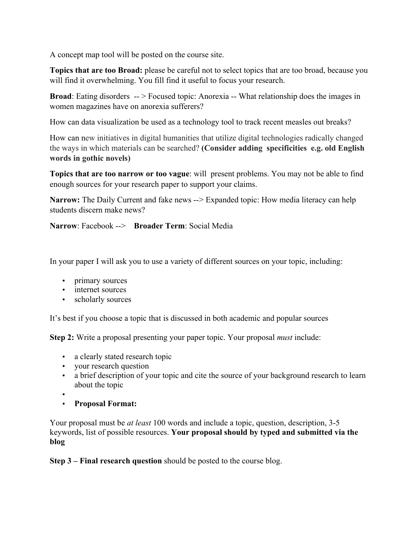A concept map tool will be posted on the course site.

**Topics that are too Broad:** please be careful not to select topics that are too broad, because you will find it overwhelming. You fill find it useful to focus your research.

**Broad**: Eating disorders  $-$  > Focused topic: Anorexia -- What relationship does the images in women magazines have on anorexia sufferers?

How can data visualization be used as a technology tool to track recent measles out breaks?

How can new initiatives in digital humanities that utilize digital technologies radically changed the ways in which materials can be searched? **(Consider adding specificities e.g. old English words in gothic novels)**

**Topics that are too narrow or too vague**: will present problems. You may not be able to find enough sources for your research paper to support your claims.

**Narrow:** The Daily Current and fake news --> Expanded topic: How media literacy can help students discern make news?

**Narrow**: Facebook --> **Broader Term**: Social Media

In your paper I will ask you to use a variety of different sources on your topic, including:

- primary sources
- internet sources
- scholarly sources

It's best if you choose a topic that is discussed in both academic and popular sources

**Step 2:** Write a proposal presenting your paper topic. Your proposal *must* include:

- a clearly stated research topic
- your research question
- a brief description of your topic and cite the source of your background research to learn about the topic
- •
- **Proposal Format:**

Your proposal must be *at least* 100 words and include a topic, question, description, 3-5 keywords, list of possible resources. **Your proposal should by typed and submitted via the blog**

**Step 3 – Final research question** should be posted to the course blog.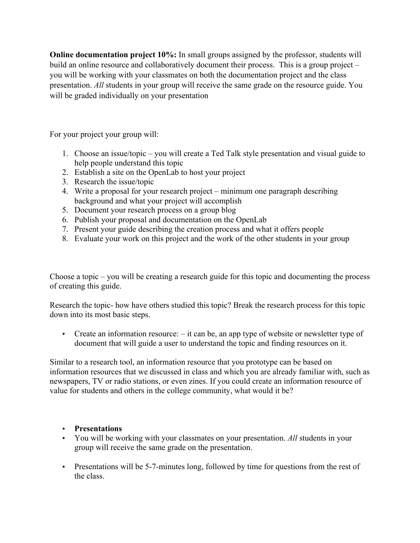**Online documentation project 10%:** In small groups assigned by the professor, students will build an online resource and collaboratively document their process. This is a group project – you will be working with your classmates on both the documentation project and the class presentation. *All* students in your group will receive the same grade on the resource guide. You will be graded individually on your presentation

For your project your group will:

- 1. Choose an issue/topic you will create a Ted Talk style presentation and visual guide to help people understand this topic
- 2. Establish a site on the OpenLab to host your project
- 3. Research the issue/topic
- 4. Write a proposal for your research project minimum one paragraph describing background and what your project will accomplish
- 5. Document your research process on a group blog
- 6. Publish your proposal and documentation on the OpenLab
- 7. Present your guide describing the creation process and what it offers people
- 8. Evaluate your work on this project and the work of the other students in your group

Choose a topic – you will be creating a research guide for this topic and documenting the process of creating this guide.

Research the topic- how have others studied this topic? Break the research process for this topic down into its most basic steps.

• Create an information resource: – it can be, an app type of website or newsletter type of document that will guide a user to understand the topic and finding resources on it.

Similar to a research tool, an information resource that you prototype can be based on information resources that we discussed in class and which you are already familiar with, such as newspapers, TV or radio stations, or even zines. If you could create an information resource of value for students and others in the college community, what would it be?

## • **Presentations**

- You will be working with your classmates on your presentation. *All* students in your group will receive the same grade on the presentation.
- Presentations will be 5-7-minutes long, followed by time for questions from the rest of the class.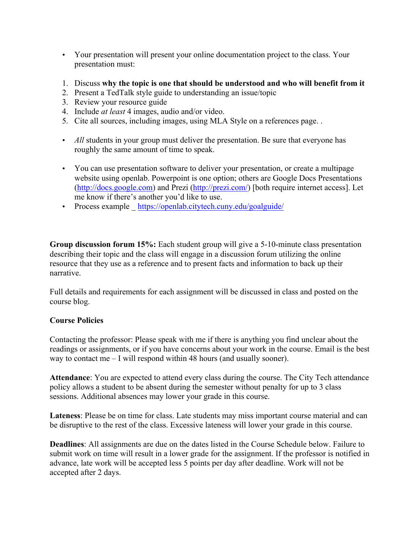- Your presentation will present your online documentation project to the class. Your presentation must:
- 1. Discuss **why the topic is one that should be understood and who will benefit from it**
- 2. Present a TedTalk style guide to understanding an issue/topic
- 3. Review your resource guide
- 4. Include *at least* 4 images, audio and/or video.
- 5. Cite all sources, including images, using MLA Style on a references page. .
- *All* students in your group must deliver the presentation. Be sure that everyone has roughly the same amount of time to speak.
- You can use presentation software to deliver your presentation, or create a multipage website using openlab. Powerpoint is one option; others are Google Docs Presentations (http://docs.google.com) and Prezi (http://prezi.com/) [both require internet access]. Let me know if there's another you'd like to use.
- Process example \_ https://openlab.citytech.cuny.edu/goalguide/

**Group discussion forum 15%:** Each student group will give a 5-10-minute class presentation describing their topic and the class will engage in a discussion forum utilizing the online resource that they use as a reference and to present facts and information to back up their narrative.

Full details and requirements for each assignment will be discussed in class and posted on the course blog.

## **Course Policies**

Contacting the professor: Please speak with me if there is anything you find unclear about the readings or assignments, or if you have concerns about your work in the course. Email is the best way to contact me – I will respond within 48 hours (and usually sooner).

**Attendance**: You are expected to attend every class during the course. The City Tech attendance policy allows a student to be absent during the semester without penalty for up to 3 class sessions. Additional absences may lower your grade in this course.

**Lateness**: Please be on time for class. Late students may miss important course material and can be disruptive to the rest of the class. Excessive lateness will lower your grade in this course.

**Deadlines**: All assignments are due on the dates listed in the Course Schedule below. Failure to submit work on time will result in a lower grade for the assignment. If the professor is notified in advance, late work will be accepted less 5 points per day after deadline. Work will not be accepted after 2 days.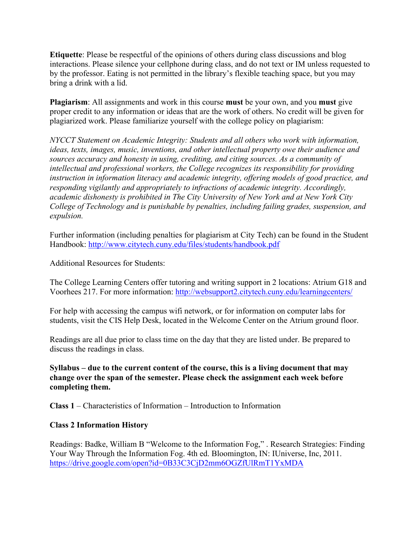**Etiquette**: Please be respectful of the opinions of others during class discussions and blog interactions. Please silence your cellphone during class, and do not text or IM unless requested to by the professor. Eating is not permitted in the library's flexible teaching space, but you may bring a drink with a lid.

**Plagiarism**: All assignments and work in this course **must** be your own, and you **must** give proper credit to any information or ideas that are the work of others. No credit will be given for plagiarized work. Please familiarize yourself with the college policy on plagiarism:

*NYCCT Statement on Academic Integrity: Students and all others who work with information, ideas, texts, images, music, inventions, and other intellectual property owe their audience and sources accuracy and honesty in using, crediting, and citing sources. As a community of intellectual and professional workers, the College recognizes its responsibility for providing instruction in information literacy and academic integrity, offering models of good practice, and responding vigilantly and appropriately to infractions of academic integrity. Accordingly, academic dishonesty is prohibited in The City University of New York and at New York City College of Technology and is punishable by penalties, including failing grades, suspension, and expulsion.*

Further information (including penalties for plagiarism at City Tech) can be found in the Student Handbook: http://www.citytech.cuny.edu/files/students/handbook.pdf

Additional Resources for Students:

The College Learning Centers offer tutoring and writing support in 2 locations: Atrium G18 and Voorhees 217. For more information: http://websupport2.citytech.cuny.edu/learningcenters/

For help with accessing the campus wifi network, or for information on computer labs for students, visit the CIS Help Desk, located in the Welcome Center on the Atrium ground floor.

Readings are all due prior to class time on the day that they are listed under. Be prepared to discuss the readings in class.

**Syllabus – due to the current content of the course, this is a living document that may change over the span of the semester. Please check the assignment each week before completing them.**

**Class 1** – Characteristics of Information – Introduction to Information

## **Class 2 Information History**

Readings: Badke, William B "Welcome to the Information Fog," . Research Strategies: Finding Your Way Through the Information Fog. 4th ed. Bloomington, IN: IUniverse, Inc, 2011. https://drive.google.com/open?id=0B33C3CjD2mm6OGZfUlRmT1YxMDA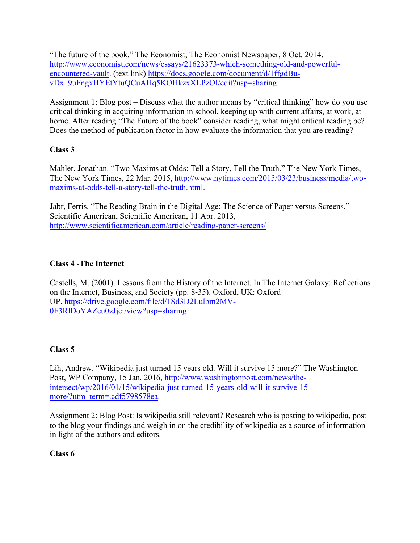"The future of the book." The Economist, The Economist Newspaper, 8 Oct. 2014, http://www.economist.com/news/essays/21623373-which-something-old-and-powerfulencountered-vault. (text link) https://docs.google.com/document/d/1ffgdBuvDx\_9uFngxHYEtYtuQCuAHq5KOHkzxXLPzOI/edit?usp=sharing

Assignment 1: Blog post – Discuss what the author means by "critical thinking" how do you use critical thinking in acquiring information in school, keeping up with current affairs, at work, at home. After reading "The Future of the book" consider reading, what might critical reading be? Does the method of publication factor in how evaluate the information that you are reading?

# **Class 3**

Mahler, Jonathan. "Two Maxims at Odds: Tell a Story, Tell the Truth." The New York Times, The New York Times, 22 Mar. 2015, http://www.nytimes.com/2015/03/23/business/media/twomaxims-at-odds-tell-a-story-tell-the-truth.html.

Jabr, Ferris. "The Reading Brain in the Digital Age: The Science of Paper versus Screens." Scientific American, Scientific American, 11 Apr. 2013, http://www.scientificamerican.com/article/reading-paper-screens/

# **Class 4 -The Internet**

Castells, M. (2001). Lessons from the History of the Internet. In The Internet Galaxy: Reflections on the Internet, Business, and Society (pp. 8-35). Oxford, UK: Oxford UP. https://drive.google.com/file/d/1Sd3D2Lulbm2MV-0F3RlDoYAZcu0zJjci/view?usp=sharing

## **Class 5**

Lih, Andrew. "Wikipedia just turned 15 years old. Will it survive 15 more?" The Washington Post, WP Company, 15 Jan. 2016, http://www.washingtonpost.com/news/theintersect/wp/2016/01/15/wikipedia-just-turned-15-years-old-will-it-survive-15 more/?utm\_term=.cdf5798578ea.

Assignment 2: Blog Post: Is wikipedia still relevant? Research who is posting to wikipedia, post to the blog your findings and weigh in on the credibility of wikipedia as a source of information in light of the authors and editors.

## **Class 6**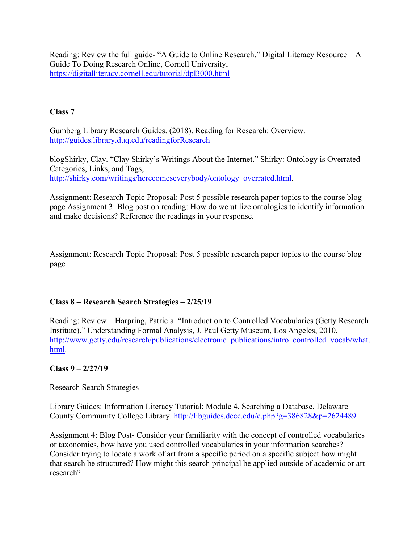Reading: Review the full guide- "A Guide to Online Research." Digital Literacy Resource – A Guide To Doing Research Online, Cornell University, https://digitalliteracy.cornell.edu/tutorial/dpl3000.html

# **Class 7**

Gumberg Library Research Guides. (2018). Reading for Research: Overview. http://guides.library.duq.edu/readingforResearch

blogShirky, Clay. "Clay Shirky's Writings About the Internet." Shirky: Ontology is Overrated — Categories, Links, and Tags, http://shirky.com/writings/herecomeseverybody/ontology\_overrated.html.

Assignment: Research Topic Proposal: Post 5 possible research paper topics to the course blog page Assignment 3: Blog post on reading: How do we utilize ontologies to identify information and make decisions? Reference the readings in your response.

Assignment: Research Topic Proposal: Post 5 possible research paper topics to the course blog page

# **Class 8 – Research Search Strategies – 2/25/19**

Reading: Review – Harpring, Patricia. "Introduction to Controlled Vocabularies (Getty Research Institute)." Understanding Formal Analysis, J. Paul Getty Museum, Los Angeles, 2010, http://www.getty.edu/research/publications/electronic\_publications/intro\_controlled\_vocab/what. html.

## **Class 9 – 2/27/19**

Research Search Strategies

Library Guides: Information Literacy Tutorial: Module 4. Searching a Database. Delaware County Community College Library. http://libguides.dccc.edu/c.php?g=386828&p=2624489

Assignment 4: Blog Post- Consider your familiarity with the concept of controlled vocabularies or taxonomies, how have you used controlled vocabularies in your information searches? Consider trying to locate a work of art from a specific period on a specific subject how might that search be structured? How might this search principal be applied outside of academic or art research?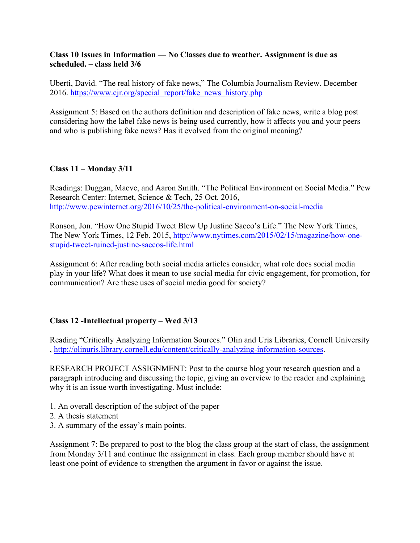## **Class 10 Issues in Information — No Classes due to weather. Assignment is due as scheduled. – class held 3/6**

Uberti, David. "The real history of fake news," The Columbia Journalism Review. December 2016. https://www.cjr.org/special\_report/fake\_news\_history.php

Assignment 5: Based on the authors definition and description of fake news, write a blog post considering how the label fake news is being used currently, how it affects you and your peers and who is publishing fake news? Has it evolved from the original meaning?

## **Class 11 – Monday 3/11**

Readings: Duggan, Maeve, and Aaron Smith. "The Political Environment on Social Media." Pew Research Center: Internet, Science & Tech, 25 Oct. 2016, http://www.pewinternet.org/2016/10/25/the-political-environment-on-social-media

Ronson, Jon. "How One Stupid Tweet Blew Up Justine Sacco's Life." The New York Times, The New York Times, 12 Feb. 2015, http://www.nytimes.com/2015/02/15/magazine/how-onestupid-tweet-ruined-justine-saccos-life.html

Assignment 6: After reading both social media articles consider, what role does social media play in your life? What does it mean to use social media for civic engagement, for promotion, for communication? Are these uses of social media good for society?

# **Class 12 -Intellectual property – Wed 3/13**

Reading "Critically Analyzing Information Sources." Olin and Uris Libraries, Cornell University , http://olinuris.library.cornell.edu/content/critically-analyzing-information-sources.

RESEARCH PROJECT ASSIGNMENT: Post to the course blog your research question and a paragraph introducing and discussing the topic, giving an overview to the reader and explaining why it is an issue worth investigating. Must include:

- 1. An overall description of the subject of the paper
- 2. A thesis statement
- 3. A summary of the essay's main points.

Assignment 7: Be prepared to post to the blog the class group at the start of class, the assignment from Monday 3/11 and continue the assignment in class. Each group member should have at least one point of evidence to strengthen the argument in favor or against the issue.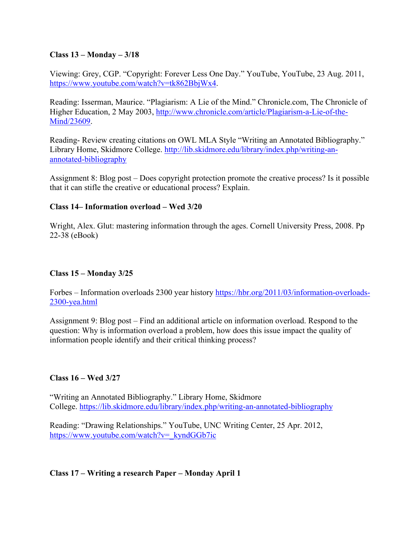## **Class 13 – Monday – 3/18**

Viewing: Grey, CGP. "Copyright: Forever Less One Day." YouTube, YouTube, 23 Aug. 2011, https://www.youtube.com/watch?v=tk862BbjWx4.

Reading: Isserman, Maurice. "Plagiarism: A Lie of the Mind." Chronicle.com, The Chronicle of Higher Education, 2 May 2003, http://www.chronicle.com/article/Plagiarism-a-Lie-of-the-Mind/23609.

Reading- Review creating citations on OWL MLA Style "Writing an Annotated Bibliography." Library Home, Skidmore College. http://lib.skidmore.edu/library/index.php/writing-anannotated-bibliography

Assignment 8: Blog post – Does copyright protection promote the creative process? Is it possible that it can stifle the creative or educational process? Explain.

## **Class 14– Information overload – Wed 3/20**

Wright, Alex. Glut: mastering information through the ages. Cornell University Press, 2008. Pp 22-38 (eBook)

## **Class 15 – Monday 3/25**

Forbes – Information overloads 2300 year history https://hbr.org/2011/03/information-overloads-2300-yea.html

Assignment 9: Blog post – Find an additional article on information overload. Respond to the question: Why is information overload a problem, how does this issue impact the quality of information people identify and their critical thinking process?

## **Class 16 – Wed 3/27**

"Writing an Annotated Bibliography." Library Home, Skidmore College. https://lib.skidmore.edu/library/index.php/writing-an-annotated-bibliography

Reading: "Drawing Relationships." YouTube, UNC Writing Center, 25 Apr. 2012, https://www.youtube.com/watch?v=\_kyndGGb7ic

## **Class 17 – Writing a research Paper – Monday April 1**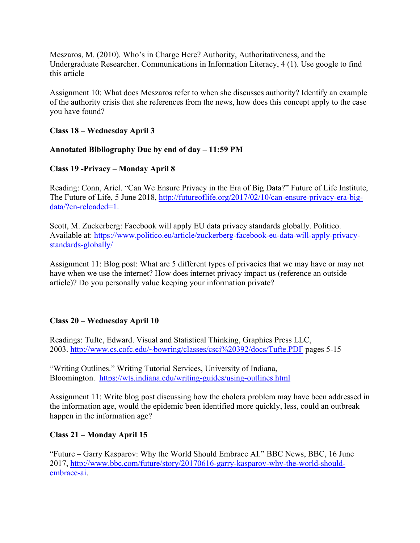Meszaros, M. (2010). Who's in Charge Here? Authority, Authoritativeness, and the Undergraduate Researcher. Communications in Information Literacy, 4 (1). Use google to find this article

Assignment 10: What does Meszaros refer to when she discusses authority? Identify an example of the authority crisis that she references from the news, how does this concept apply to the case you have found?

## **Class 18 – Wednesday April 3**

## **Annotated Bibliography Due by end of day – 11:59 PM**

## **Class 19 -Privacy – Monday April 8**

Reading: Conn, Ariel. "Can We Ensure Privacy in the Era of Big Data?" Future of Life Institute, The Future of Life, 5 June 2018, http://futureoflife.org/2017/02/10/can-ensure-privacy-era-bigdata/?cn-reloaded=1.

Scott, M. Zuckerberg: Facebook will apply EU data privacy standards globally. Politico. Available at: https://www.politico.eu/article/zuckerberg-facebook-eu-data-will-apply-privacystandards-globally/

Assignment 11: Blog post: What are 5 different types of privacies that we may have or may not have when we use the internet? How does internet privacy impact us (reference an outside article)? Do you personally value keeping your information private?

## **Class 20 – Wednesday April 10**

Readings: Tufte, Edward. Visual and Statistical Thinking, Graphics Press LLC, 2003. http://www.cs.cofc.edu/~bowring/classes/csci%20392/docs/Tufte.PDF pages 5-15

"Writing Outlines." Writing Tutorial Services, University of Indiana, Bloomington. https://wts.indiana.edu/writing-guides/using-outlines.html

Assignment 11: Write blog post discussing how the cholera problem may have been addressed in the information age, would the epidemic been identified more quickly, less, could an outbreak happen in the information age?

## **Class 21 – Monday April 15**

"Future – Garry Kasparov: Why the World Should Embrace AI." BBC News, BBC, 16 June 2017, http://www.bbc.com/future/story/20170616-garry-kasparov-why-the-world-shouldembrace-ai.